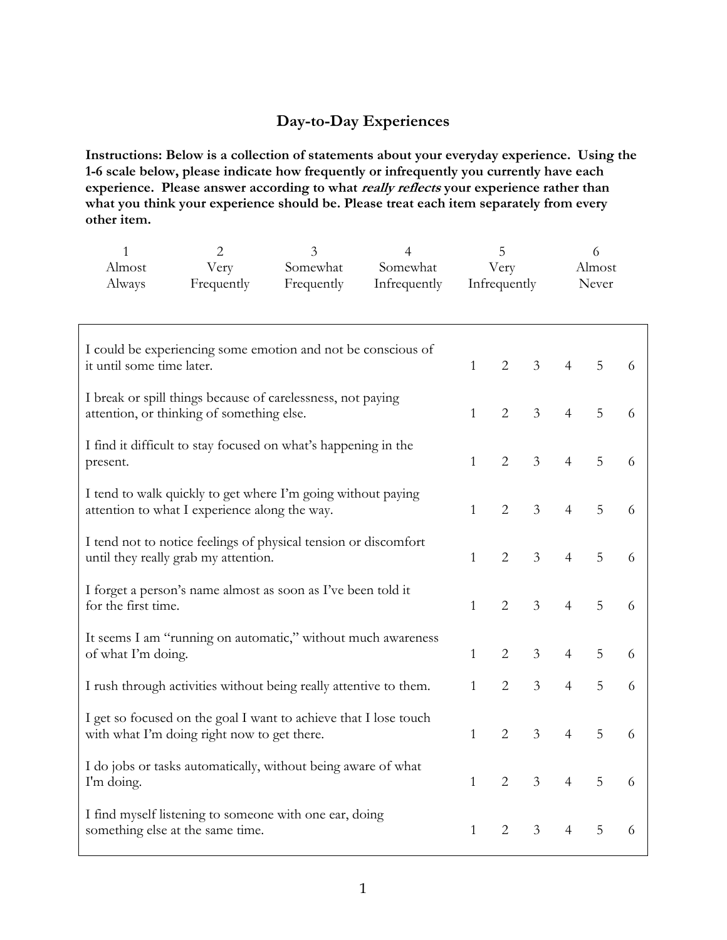## **Day-to-Day Experiences**

**Instructions: Below is a collection of statements about your everyday experience. Using the 1-6 scale below, please indicate how frequently or infrequently you currently have each**  experience. Please answer according to what *really reflects* your experience rather than **what you think your experience should be. Please treat each item separately from every other item.** 

| $\mathbf{1}$<br>Almost<br>Always                                                                                | $\overline{2}$<br>Very<br>Frequently                         | 3<br>Somewhat<br>Frequently | $\overline{4}$<br>Somewhat<br>Infrequently | 5<br>Very<br>Infrequently |                |                | 6<br>Almost<br>Never |   |   |
|-----------------------------------------------------------------------------------------------------------------|--------------------------------------------------------------|-----------------------------|--------------------------------------------|---------------------------|----------------|----------------|----------------------|---|---|
| I could be experiencing some emotion and not be conscious of<br>it until some time later.                       |                                                              |                             |                                            | $\mathbf{1}$              | $\overline{2}$ | $\overline{3}$ | $\overline{4}$       | 5 | 6 |
| I break or spill things because of carelessness, not paying<br>attention, or thinking of something else.        |                                                              |                             |                                            | $\mathbf{1}$              | $\overline{2}$ | $\mathfrak{Z}$ | $\overline{4}$       | 5 | 6 |
| I find it difficult to stay focused on what's happening in the<br>present.                                      |                                                              |                             |                                            | $\mathbf{1}$              | $\overline{2}$ | 3              | $\overline{4}$       | 5 | 6 |
| I tend to walk quickly to get where I'm going without paying<br>attention to what I experience along the way.   |                                                              |                             |                                            | $\mathbf{1}$              | $\overline{2}$ | 3              | $\overline{4}$       | 5 | 6 |
| I tend not to notice feelings of physical tension or discomfort<br>until they really grab my attention.         |                                                              |                             |                                            | $\mathbf{1}$              | $\overline{2}$ | $\mathfrak{Z}$ | $\overline{4}$       | 5 | 6 |
| for the first time.                                                                                             | I forget a person's name almost as soon as I've been told it |                             |                                            | $\mathbf{1}$              | $\overline{2}$ | $\mathfrak{Z}$ | $\overline{4}$       | 5 | 6 |
| It seems I am "running on automatic," without much awareness<br>of what I'm doing.                              |                                                              |                             |                                            | $\mathbf{1}$              | $\overline{2}$ | 3              | $\overline{4}$       | 5 | 6 |
| I rush through activities without being really attentive to them.                                               |                                                              |                             |                                            | 1                         | $\overline{2}$ | 3              | $\overline{4}$       | 5 | 6 |
| I get so focused on the goal I want to achieve that I lose touch<br>with what I'm doing right now to get there. |                                                              |                             |                                            | $\mathbf{1}$              | $\overline{2}$ | $\overline{3}$ | $\overline{4}$       | 5 | 6 |
| I do jobs or tasks automatically, without being aware of what<br>I'm doing.                                     |                                                              |                             |                                            | $\mathbf{1}$              | $\overline{2}$ | $\mathfrak{Z}$ | $\overline{4}$       | 5 | 6 |
| I find myself listening to someone with one ear, doing<br>something else at the same time.                      |                                                              |                             |                                            | $\mathbf{1}$              | $\overline{2}$ | 3              | $\overline{4}$       | 5 | 6 |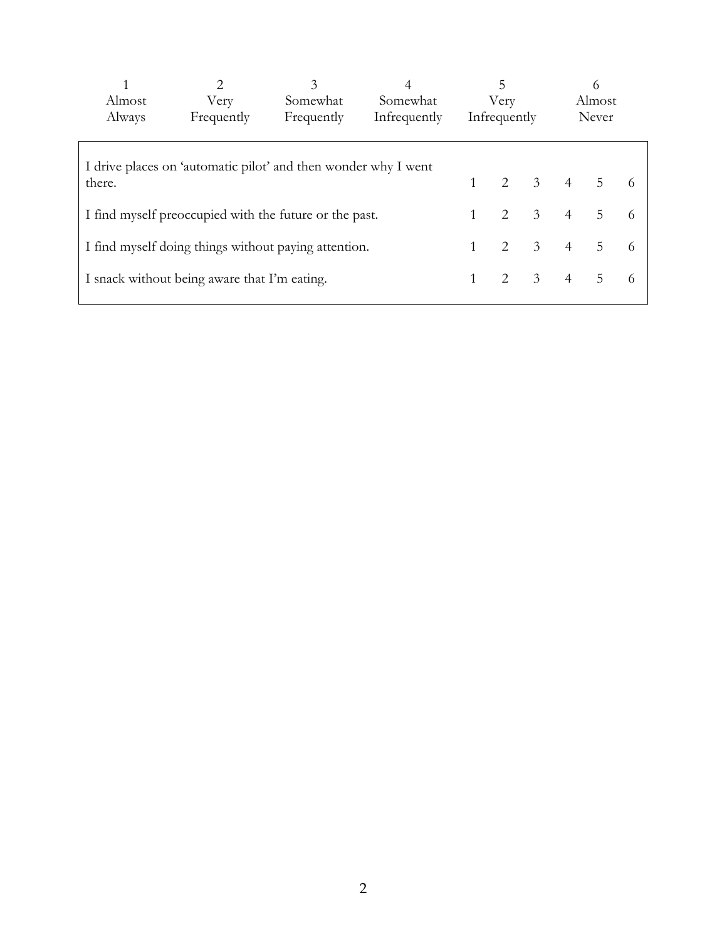|                                                                | $\mathfrak{D}$ | 3          |              | 5            |               |                         | $^{(1)}$       |                |    |  |
|----------------------------------------------------------------|----------------|------------|--------------|--------------|---------------|-------------------------|----------------|----------------|----|--|
| Almost                                                         | Very           | Somewhat   | Somewhat     | Very         |               |                         | Almost         |                |    |  |
| Always                                                         | Frequently     | Frequently | Infrequently | Infrequently |               |                         | Never          |                |    |  |
|                                                                |                |            |              |              |               |                         |                |                |    |  |
| I drive places on 'automatic pilot' and then wonder why I went |                |            |              |              |               |                         |                |                |    |  |
| there.                                                         |                |            |              |              | $\mathcal{P}$ | $\overline{3}$          | $\overline{4}$ | $\overline{5}$ |    |  |
| I find myself preoccupied with the future or the past.         |                |            |              |              | $2^{1}$       | $\mathcal{E}$           | $\overline{4}$ | $\overline{5}$ | -6 |  |
| I find myself doing things without paying attention.           |                |            |              |              | 2             | $\overline{3}$          | $\overline{4}$ | 5              | -6 |  |
| I snack without being aware that I'm eating.                   |                |            |              |              |               | $\overline{\mathbf{3}}$ | $\overline{4}$ | 5              | -6 |  |
|                                                                |                |            |              |              |               |                         |                |                |    |  |